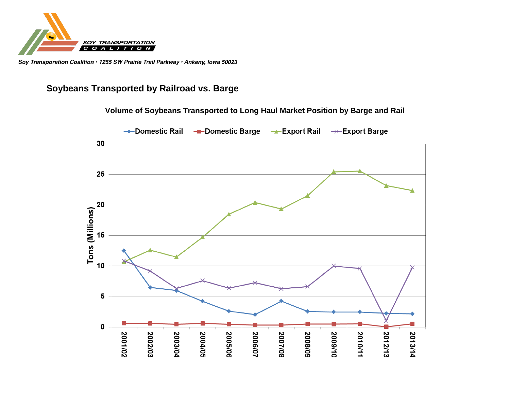

Soy Transporation Coalition · 1255 SW Prairie Trail Parkway · Ankeny, Iowa 50023

## **Soybeans Transported by Railroad vs. Barge**

**Volume of Soybeans Transported to Long Haul Market Position by Barge and Rail**